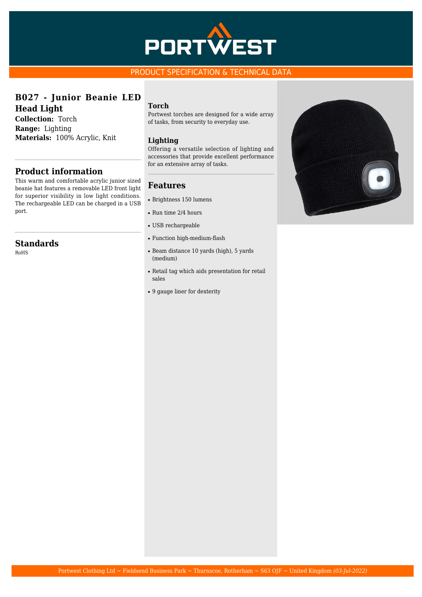

## PRODUCT SPECIFICATION & TECHNICAL DATA

## **B027 - Junior Beanie LED Head Light**

**Collection:** Torch **Range:** Lighting **Materials:** 100% Acrylic, Knit

## **Product information**

This warm and comfortable acrylic junior sized beanie hat features a removable LED front light for superior visibility in low light conditions. The rechargeable LED can be charged in a USB port.

## **Standards**

RoHS

#### **Torch**

Portwest torches are designed for a wide array of tasks, from security to everyday use.

#### **Lighting**

Offering a versatile selection of lighting and accessories that provide excellent performance for an extensive array of tasks.

#### **Features**

- Brightness 150 lumens
- $\bullet$  Run time 2/4 hours
- USB rechargeable
- Function high-medium-flash
- Beam distance 10 yards (high), 5 yards (medium)
- Retail tag which aids presentation for retail sales
- 9 gauge liner for dexterity